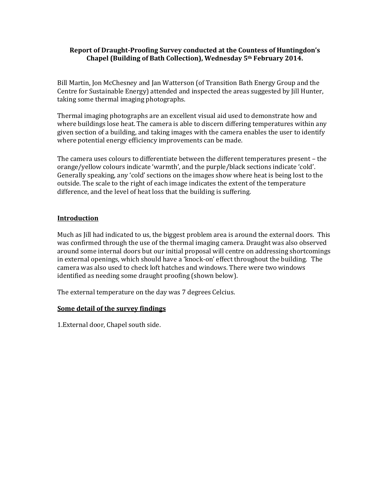## **Report of Draught-Proofing Survey conducted at the Countess of Huntingdon's Chapel (Building of Bath Collection), Wednesday 5th February 2014.**

Bill Martin, Jon McChesney and Jan Watterson (of Transition Bath Energy Group and the Centre for Sustainable Energy) attended and inspected the areas suggested by Jill Hunter, taking some thermal imaging photographs.

Thermal imaging photographs are an excellent visual aid used to demonstrate how and where buildings lose heat. The camera is able to discern differing temperatures within any given section of a building, and taking images with the camera enables the user to identify where potential energy efficiency improvements can be made.

The camera uses colours to differentiate between the different temperatures present – the orange/yellow colours indicate 'warmth', and the purple/black sections indicate 'cold'. Generally speaking, any 'cold' sections on the images show where heat is being lost to the outside. The scale to the right of each image indicates the extent of the temperature difference, and the level of heat loss that the building is suffering.

## **Introduction**

Much as Jill had indicated to us, the biggest problem area is around the external doors. This was confirmed through the use of the thermal imaging camera. Draught was also observed around some internal doors but our initial proposal will centre on addressing shortcomings in external openings, which should have a 'knock-on' effect throughout the building. The camera was also used to check loft hatches and windows. There were two windows identified as needing some draught proofing (shown below).

The external temperature on the day was 7 degrees Celcius.

#### **Some detail of the survey findings**

1.External door, Chapel south side.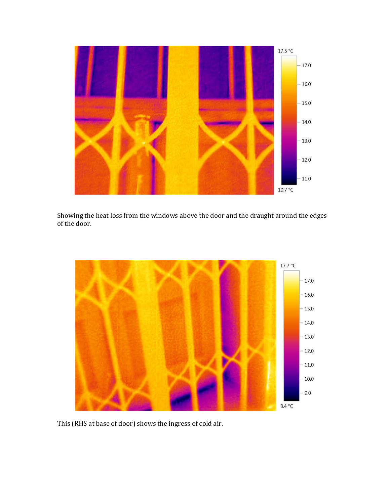

Showing the heat loss from the windows above the door and the draught around the edges of the door.



This (RHS at base of door) shows the ingress of cold air.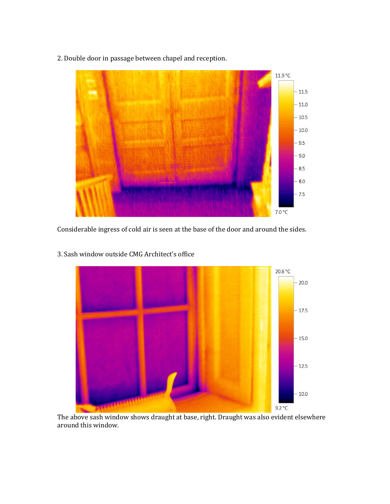2. Double door in passage between chapel and reception.



Considerable ingress of cold air is seen at the base of the door and around the sides.



3. Sash window outside CMG Architect's office

The above sash window shows draught at base, right. Draught was also evident elsewhere around this window.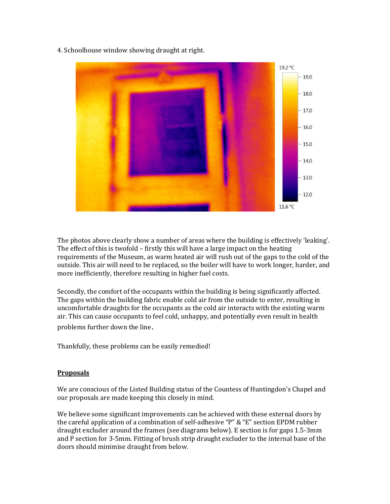4. Schoolhouse window showing draught at right.



The photos above clearly show a number of areas where the building is effectively 'leaking'. The effect of this is twofold – firstly this will have a large impact on the heating requirements of the Museum, as warm heated air will rush out of the gaps to the cold of the outside. This air will need to be replaced, so the boiler will have to work longer, harder, and more inefficiently, therefore resulting in higher fuel costs.

Secondly, the comfort of the occupants within the building is being significantly affected. The gaps within the building fabric enable cold air from the outside to enter, resulting in uncomfortable draughts for the occupants as the cold air interacts with the existing warm air. This can cause occupants to feel cold, unhappy, and potentially even result in health problems further down the line.

Thankfully, these problems can be easily remedied!

# **Proposals**

We are conscious of the Listed Building status of the Countess of Huntingdon's Chapel and our proposals are made keeping this closely in mind.

We believe some significant improvements can be achieved with these external doors by the careful application of a combination of self-adhesive "P" & "E" section EPDM rubber draught excluder around the frames (see diagrams below). E section is for gaps 1.5-3mm and P section for 3-5mm. Fitting of brush strip draught excluder to the internal base of the doors should minimise draught from below.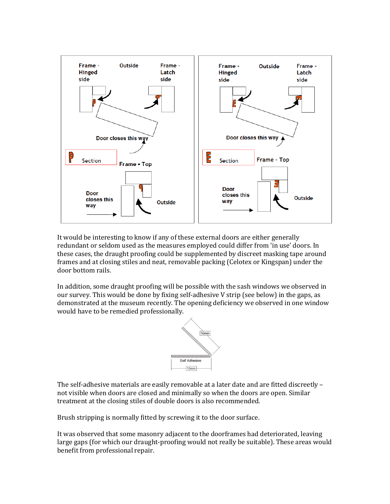

It would be interesting to know if any of these external doors are either generally redundant or seldom used as the measures employed could differ from 'in use' doors. In these cases, the draught proofing could be supplemented by discreet masking tape around frames and at closing stiles and neat, removable packing (Celotex or Kingspan) under the door bottom rails.

In addition, some draught proofing will be possible with the sash windows we observed in our survey. This would be done by fixing self-adhesive V strip (see below) in the gaps, as demonstrated at the museum recently. The opening deficiency we observed in one window would have to be remedied professionally.



The self-adhesive materials are easily removable at a later date and are fitted discreetly – not visible when doors are closed and minimally so when the doors are open. Similar treatment at the closing stiles of double doors is also recommended.

Brush stripping is normally fitted by screwing it to the door surface.

It was observed that some masonry adjacent to the doorframes had deteriorated, leaving large gaps (for which our draught-proofing would not really be suitable). These areas would benefit from professional repair.